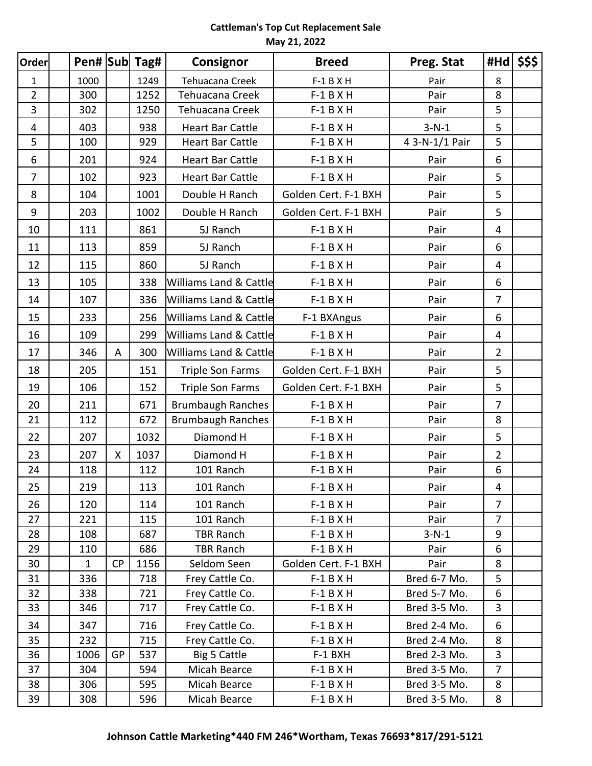| <b>Order</b>            |              |           | Pen# Sub Tag# | Consignor                         | <b>Breed</b>         | Preg. Stat     | $#Hd$ \$\$\$   |  |
|-------------------------|--------------|-----------|---------------|-----------------------------------|----------------------|----------------|----------------|--|
| $\mathbf{1}$            | 1000         |           | 1249          | Tehuacana Creek                   | $F-1$ B X H          | Pair           | 8              |  |
| $\overline{2}$          | 300          |           | 1252          | Tehuacana Creek                   | $F-1$ B X H          | Pair           | 8              |  |
| $\overline{3}$          | 302          |           | 1250          | Tehuacana Creek                   | $F-1 B X H$          | Pair           | 5              |  |
| $\overline{\mathbf{4}}$ | 403          |           | 938           | <b>Heart Bar Cattle</b>           | $F-1$ B X H          | $3-N-1$        | 5              |  |
| 5                       | 100          |           | 929           | <b>Heart Bar Cattle</b>           | $F-1$ B X H          | 4 3-N-1/1 Pair | 5              |  |
| 6                       | 201          |           | 924           | <b>Heart Bar Cattle</b>           | $F-1$ B X H          | Pair           | 6              |  |
| $\overline{7}$          | 102          |           | 923           | <b>Heart Bar Cattle</b>           | $F-1$ B X H          | Pair           | 5              |  |
| 8                       | 104          |           | 1001          | Double H Ranch                    | Golden Cert. F-1 BXH | Pair           | 5              |  |
| 9                       | 203          |           | 1002          | Double H Ranch                    | Golden Cert. F-1 BXH | Pair           | 5              |  |
| 10                      | 111          |           | 861           | 5J Ranch                          | $F-1$ B X H          | Pair           | 4              |  |
| 11                      | 113          |           | 859           | 5J Ranch                          | $F-1$ B X H          | Pair           | 6              |  |
| 12                      | 115          |           | 860           | 5J Ranch                          | $F-1$ B X H          | Pair           | $\overline{4}$ |  |
| 13                      | 105          |           | 338           | Williams Land & Cattle            | $F-1$ B X H          | Pair           | $6\,$          |  |
| 14                      | 107          |           | 336           | <b>Williams Land &amp; Cattle</b> | $F-1 B X H$          | Pair           | $\overline{7}$ |  |
| 15                      | 233          |           | 256           | Williams Land & Cattle            | F-1 BXAngus          | Pair           | 6              |  |
| 16                      | 109          |           | 299           | <b>Williams Land &amp; Cattle</b> | $F-1$ B X H          | Pair           | $\overline{4}$ |  |
| 17                      | 346          | A         | 300           | Williams Land & Cattle            | $F-1 B X H$          | Pair           | $\overline{2}$ |  |
| 18                      | 205          |           | 151           | <b>Triple Son Farms</b>           | Golden Cert. F-1 BXH | Pair           | 5              |  |
| 19                      | 106          |           | 152           | <b>Triple Son Farms</b>           | Golden Cert. F-1 BXH | Pair           | 5              |  |
| 20                      | 211          |           | 671           | <b>Brumbaugh Ranches</b>          | $F-1$ B X H          | Pair           | $\overline{7}$ |  |
| 21                      | 112          |           | 672           | <b>Brumbaugh Ranches</b>          | $F-1 B X H$          | Pair           | 8              |  |
| 22                      | 207          |           | 1032          | Diamond H                         | $F-1 B X H$          | Pair           | 5              |  |
| 23                      | 207          | X         | 1037          | Diamond H                         | $F-1$ B X H          | Pair           | $\overline{2}$ |  |
| 24                      | 118          |           | 112           | 101 Ranch                         | $F-1$ B X H          | Pair           | 6              |  |
| 25                      | 219          |           | 113           | 101 Ranch                         | $F-1$ B X H          | Pair           | 4              |  |
| 26                      | 120          |           | 114           | 101 Ranch                         | $F-1 B X H$          | Pair           | 7              |  |
| 27                      | 221          |           | 115           | 101 Ranch                         | $F-1 B X H$          | Pair           | $\overline{7}$ |  |
| 28                      | 108          |           | 687           | TBR Ranch                         | $F-1 B X H$          | $3-N-1$        | 9              |  |
| 29                      | 110          |           | 686           | <b>TBR Ranch</b>                  | $F-1 B X H$          | Pair           | 6              |  |
| 30                      | $\mathbf{1}$ | <b>CP</b> | 1156          | Seldom Seen                       | Golden Cert. F-1 BXH | Pair           | 8              |  |
| 31                      | 336          |           | 718           | Frey Cattle Co.                   | $F-1 B X H$          | Bred 6-7 Mo.   | 5              |  |
| 32                      | 338          |           | 721           | Frey Cattle Co.                   | $F-1 B X H$          | Bred 5-7 Mo.   | 6              |  |
| 33                      | 346          |           | 717           | Frey Cattle Co.                   | $F-1 B X H$          | Bred 3-5 Mo.   | 3              |  |
| 34                      | 347          |           | 716           | Frey Cattle Co.                   | $F-1 B X H$          | Bred 2-4 Mo.   | 6              |  |
| 35                      | 232          |           | 715           | Frey Cattle Co.                   | $F-1 B X H$          | Bred 2-4 Mo.   | 8              |  |
| 36                      | 1006         | GP        | 537           | Big 5 Cattle                      | F-1 BXH              | Bred 2-3 Mo.   | 3              |  |
| 37                      | 304          |           | 594           | Micah Bearce                      | $F-1 B X H$          | Bred 3-5 Mo.   | 7              |  |
| 38                      | 306          |           | 595           | Micah Bearce                      | $F-1 B X H$          | Bred 3-5 Mo.   | 8              |  |
| 39                      | 308          |           | 596           | Micah Bearce                      | $F-1 B X H$          | Bred 3-5 Mo.   | 8              |  |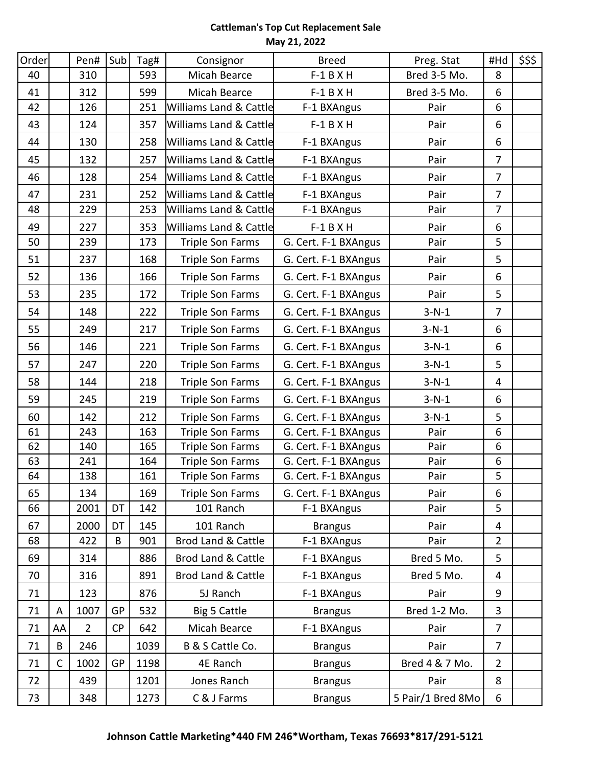| Order |              | Pen#           | Sub       | Tag# | Consignor                         | <b>Breed</b>         | Preg. Stat        | #Hd            | \$\$\$ |
|-------|--------------|----------------|-----------|------|-----------------------------------|----------------------|-------------------|----------------|--------|
| 40    |              | 310            |           | 593  | Micah Bearce                      | $F-1$ B X H          | Bred 3-5 Mo.      | 8              |        |
| 41    |              | 312            |           | 599  | Micah Bearce                      | $F-1 B X H$          | Bred 3-5 Mo.      | 6              |        |
| 42    |              | 126            |           | 251  | Williams Land & Cattle            | F-1 BXAngus          | Pair              | 6              |        |
| 43    |              | 124            |           | 357  | <b>Williams Land &amp; Cattle</b> | $F-1$ B X H          | Pair              | 6              |        |
| 44    |              | 130            |           | 258  | <b>Williams Land &amp; Cattle</b> | F-1 BXAngus          | Pair              | 6              |        |
| 45    |              | 132            |           | 257  | <b>Williams Land &amp; Cattle</b> | F-1 BXAngus          | Pair              | $\overline{7}$ |        |
| 46    |              | 128            |           | 254  | <b>Williams Land &amp; Cattle</b> | F-1 BXAngus          | Pair              | $\overline{7}$ |        |
| 47    |              | 231            |           | 252  | <b>Williams Land &amp; Cattle</b> | F-1 BXAngus          | Pair              | $\overline{7}$ |        |
| 48    |              | 229            |           | 253  | <b>Williams Land &amp; Cattle</b> | F-1 BXAngus          | Pair              | $\overline{7}$ |        |
| 49    |              | 227            |           | 353  | <b>Williams Land &amp; Cattle</b> | $F-1$ B X H          | Pair              | 6              |        |
| 50    |              | 239            |           | 173  | Triple Son Farms                  | G. Cert. F-1 BXAngus | Pair              | 5              |        |
| 51    |              | 237            |           | 168  | <b>Triple Son Farms</b>           | G. Cert. F-1 BXAngus | Pair              | 5              |        |
| 52    |              | 136            |           | 166  | <b>Triple Son Farms</b>           | G. Cert. F-1 BXAngus | Pair              | 6              |        |
| 53    |              | 235            |           | 172  | <b>Triple Son Farms</b>           | G. Cert. F-1 BXAngus | Pair              | 5              |        |
| 54    |              | 148            |           | 222  | <b>Triple Son Farms</b>           | G. Cert. F-1 BXAngus | $3-N-1$           | $\overline{7}$ |        |
| 55    |              | 249            |           | 217  | <b>Triple Son Farms</b>           | G. Cert. F-1 BXAngus | $3-N-1$           | 6              |        |
| 56    |              | 146            |           | 221  | <b>Triple Son Farms</b>           | G. Cert. F-1 BXAngus | $3-N-1$           | 6              |        |
| 57    |              | 247            |           | 220  | <b>Triple Son Farms</b>           | G. Cert. F-1 BXAngus | $3-N-1$           | 5              |        |
| 58    |              | 144            |           | 218  | <b>Triple Son Farms</b>           | G. Cert. F-1 BXAngus | $3-N-1$           | 4              |        |
| 59    |              | 245            |           | 219  | <b>Triple Son Farms</b>           | G. Cert. F-1 BXAngus | $3-N-1$           | 6              |        |
| 60    |              | 142            |           | 212  | <b>Triple Son Farms</b>           | G. Cert. F-1 BXAngus | $3-N-1$           | 5              |        |
| 61    |              | 243            |           | 163  | <b>Triple Son Farms</b>           | G. Cert. F-1 BXAngus | Pair              | 6              |        |
| 62    |              | 140            |           | 165  | <b>Triple Son Farms</b>           | G. Cert. F-1 BXAngus | Pair              | 6              |        |
| 63    |              | 241            |           | 164  | <b>Triple Son Farms</b>           | G. Cert. F-1 BXAngus | Pair              | 6              |        |
| 64    |              | 138            |           | 161  | <b>Triple Son Farms</b>           | G. Cert. F-1 BXAngus | Pair              | 5              |        |
| 65    |              | 134            |           | 169  | <b>Triple Son Farms</b>           | G. Cert. F-1 BXAngus | Pair              | 6              |        |
| 66    |              | 2001           | DT        | 142  | 101 Ranch                         | F-1 BXAngus          | Pair              | 5              |        |
| 67    |              | 2000           | DT        | 145  | 101 Ranch                         | <b>Brangus</b>       | Pair              | 4              |        |
| 68    |              | 422            | B         | 901  | Brod Land & Cattle                | F-1 BXAngus          | Pair              | $\overline{2}$ |        |
| 69    |              | 314            |           | 886  | <b>Brod Land &amp; Cattle</b>     | F-1 BXAngus          | Bred 5 Mo.        | 5              |        |
| 70    |              | 316            |           | 891  | Brod Land & Cattle                | F-1 BXAngus          | Bred 5 Mo.        | 4              |        |
| 71    |              | 123            |           | 876  | 5J Ranch                          | F-1 BXAngus          | Pair              | 9              |        |
| 71    | A            | 1007           | GP        | 532  | Big 5 Cattle                      | <b>Brangus</b>       | Bred 1-2 Mo.      | 3              |        |
| 71    | AA           | $\overline{2}$ | <b>CP</b> | 642  | Micah Bearce                      | F-1 BXAngus          | Pair              | 7              |        |
| 71    | B            | 246            |           | 1039 | B & S Cattle Co.                  | <b>Brangus</b>       | Pair              | 7              |        |
| 71    | $\mathsf{C}$ | 1002           | GP        | 1198 | 4E Ranch                          | <b>Brangus</b>       | Bred 4 & 7 Mo.    | $\overline{2}$ |        |
| 72    |              | 439            |           | 1201 | Jones Ranch                       | <b>Brangus</b>       | Pair              | 8              |        |
| 73    |              | 348            |           | 1273 | C & J Farms                       | <b>Brangus</b>       | 5 Pair/1 Bred 8Mo | 6              |        |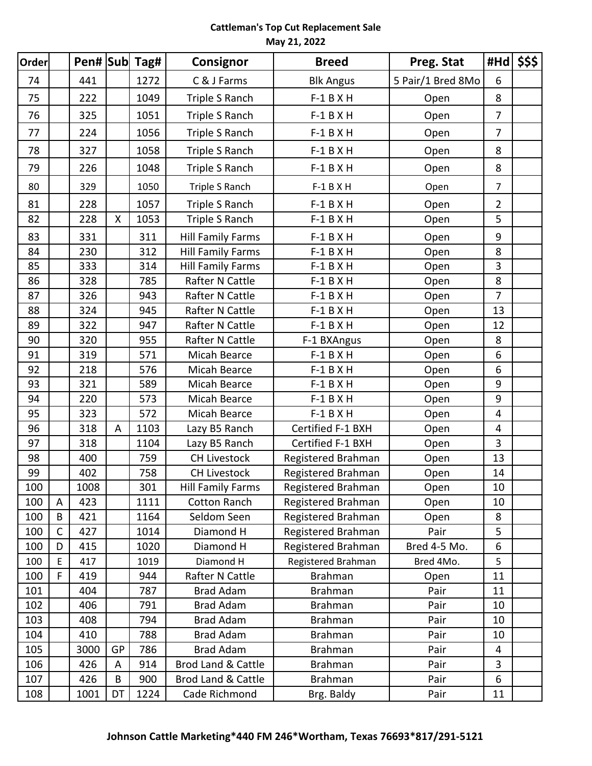| Order |              |      |                    | Pen# Sub Tag# | Consignor                     | <b>Breed</b>       | Preg. Stat        | #Hd              | \$\$\$ |
|-------|--------------|------|--------------------|---------------|-------------------------------|--------------------|-------------------|------------------|--------|
| 74    |              | 441  |                    | 1272          | C & J Farms                   | <b>Blk Angus</b>   | 5 Pair/1 Bred 8Mo | 6                |        |
| 75    |              | 222  |                    | 1049          | Triple S Ranch                | $F-1 B X H$        | Open              | 8                |        |
| 76    |              | 325  |                    | 1051          | Triple S Ranch                | $F-1 B X H$        | Open              | $\overline{7}$   |        |
| 77    |              | 224  |                    | 1056          | Triple S Ranch                | $F-1 B X H$        | Open              | 7                |        |
| 78    |              | 327  |                    | 1058          | Triple S Ranch                | $F-1 B X H$        | Open              | 8                |        |
| 79    |              | 226  |                    | 1048          | Triple S Ranch                | $F-1$ B X H        | Open              | 8                |        |
| 80    |              | 329  |                    | 1050          | Triple S Ranch                | $F-1$ B X H        | Open              | $\overline{7}$   |        |
| 81    |              | 228  |                    | 1057          | Triple S Ranch                | $F-1 B X H$        | Open              | $\overline{2}$   |        |
| 82    |              | 228  | $\pmb{\mathsf{X}}$ | 1053          | Triple S Ranch                | $F-1 B X H$        | Open              | 5                |        |
| 83    |              | 331  |                    | 311           | <b>Hill Family Farms</b>      | $F-1 B X H$        | Open              | $\boldsymbol{9}$ |        |
| 84    |              | 230  |                    | 312           | <b>Hill Family Farms</b>      | $F-1$ B X H        | Open              | 8                |        |
| 85    |              | 333  |                    | 314           | <b>Hill Family Farms</b>      | $F-1 B X H$        | Open              | 3                |        |
| 86    |              | 328  |                    | 785           | Rafter N Cattle               | $F-1$ B X H        | Open              | 8                |        |
| 87    |              | 326  |                    | 943           | Rafter N Cattle               | $F-1 B X H$        | Open              | 7                |        |
| 88    |              | 324  |                    | 945           | Rafter N Cattle               | $F-1 B X H$        | Open              | 13               |        |
| 89    |              | 322  |                    | 947           | Rafter N Cattle               | $F-1 B X H$        | Open              | 12               |        |
| 90    |              | 320  |                    | 955           | Rafter N Cattle               | F-1 BXAngus        | Open              | 8                |        |
| 91    |              | 319  |                    | 571           | Micah Bearce                  | $F-1$ B X H        | Open              | 6                |        |
| 92    |              | 218  |                    | 576           | Micah Bearce                  | $F-1 B X H$        | Open              | 6                |        |
| 93    |              | 321  |                    | 589           | Micah Bearce                  | $F-1 B X H$        | Open              | 9                |        |
| 94    |              | 220  |                    | 573           | Micah Bearce                  | $F-1$ B X H        | Open              | $\boldsymbol{9}$ |        |
| 95    |              | 323  |                    | 572           | Micah Bearce                  | $F-1 B X H$        | Open              | 4                |        |
| 96    |              | 318  | A                  | 1103          | Lazy B5 Ranch                 | Certified F-1 BXH  | Open              | 4                |        |
| 97    |              | 318  |                    | 1104          | Lazy B5 Ranch                 | Certified F-1 BXH  | Open              | 3                |        |
| 98    |              | 400  |                    | 759           | <b>CH Livestock</b>           | Registered Brahman | Open              | 13               |        |
| 99    |              | 402  |                    | 758           | <b>CH Livestock</b>           | Registered Brahman | Open              | 14               |        |
| 100   |              | 1008 |                    | 301           | Hill Family Farms             | Registered Brahman | Open              | 10               |        |
| 100   | A            | 423  |                    | 1111          | Cotton Ranch                  | Registered Brahman | Open              | 10               |        |
| 100   | B            | 421  |                    | 1164          | Seldom Seen                   | Registered Brahman | Open              | 8                |        |
| 100   | $\mathsf{C}$ | 427  |                    | 1014          | Diamond H                     | Registered Brahman | Pair              | 5                |        |
| 100   | D            | 415  |                    | 1020          | Diamond H                     | Registered Brahman | Bred 4-5 Mo.      | 6                |        |
| 100   | E            | 417  |                    | 1019          | Diamond H                     | Registered Brahman | Bred 4Mo.         | 5                |        |
| 100   | F            | 419  |                    | 944           | Rafter N Cattle               | <b>Brahman</b>     | Open              | 11               |        |
| 101   |              | 404  |                    | 787           | <b>Brad Adam</b>              | <b>Brahman</b>     | Pair              | 11               |        |
| 102   |              | 406  |                    | 791           | <b>Brad Adam</b>              | <b>Brahman</b>     | Pair              | 10               |        |
| 103   |              | 408  |                    | 794           | <b>Brad Adam</b>              | <b>Brahman</b>     | Pair              | 10               |        |
| 104   |              | 410  |                    | 788           | <b>Brad Adam</b>              | <b>Brahman</b>     | Pair              | 10               |        |
| 105   |              | 3000 | GP                 | 786           | <b>Brad Adam</b>              | <b>Brahman</b>     | Pair              | 4                |        |
| 106   |              | 426  | A                  | 914           | <b>Brod Land &amp; Cattle</b> | <b>Brahman</b>     | Pair              | 3                |        |
| 107   |              | 426  | B                  | 900           | <b>Brod Land &amp; Cattle</b> | <b>Brahman</b>     | Pair              | 6                |        |
| 108   |              | 1001 | DT                 | 1224          | Cade Richmond                 | Brg. Baldy         | Pair              | 11               |        |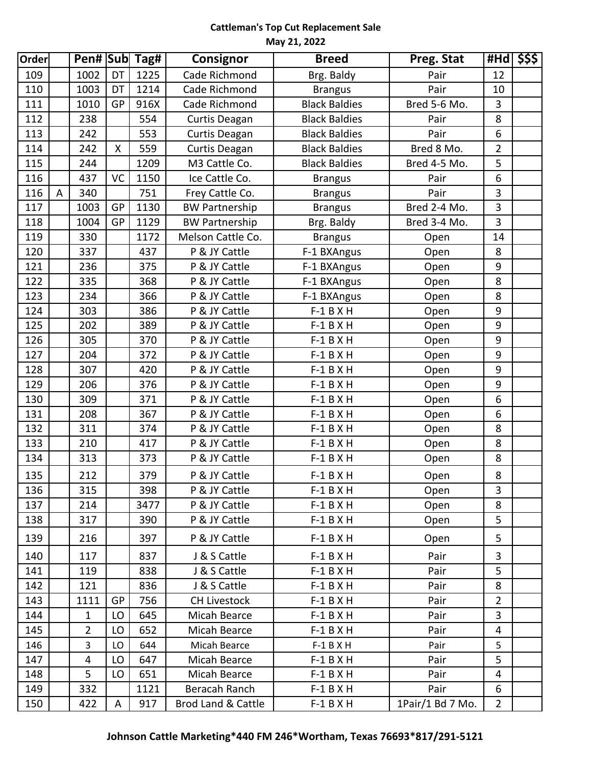| Order |   |                |           | Pen# Sub Tag# | <b>Consignor</b>      | <b>Breed</b>         | Preg. Stat       |                  | $#$ Hd  $$$ \$\$ |
|-------|---|----------------|-----------|---------------|-----------------------|----------------------|------------------|------------------|------------------|
| 109   |   | 1002           | DT        | 1225          | Cade Richmond         | Brg. Baldy           | Pair             | 12               |                  |
| 110   |   | 1003           | DT        | 1214          | Cade Richmond         | <b>Brangus</b>       | Pair             | 10               |                  |
| 111   |   | 1010           | GP        | 916X          | Cade Richmond         | <b>Black Baldies</b> | Bred 5-6 Mo.     | 3                |                  |
| 112   |   | 238            |           | 554           | Curtis Deagan         | <b>Black Baldies</b> | Pair             | 8                |                  |
| 113   |   | 242            |           | 553           | Curtis Deagan         | <b>Black Baldies</b> | Pair             | 6                |                  |
| 114   |   | 242            | X         | 559           | Curtis Deagan         | <b>Black Baldies</b> | Bred 8 Mo.       | $\overline{2}$   |                  |
| 115   |   | 244            |           | 1209          | M3 Cattle Co.         | <b>Black Baldies</b> | Bred 4-5 Mo.     | 5                |                  |
| 116   |   | 437            | <b>VC</b> | 1150          | Ice Cattle Co.        | <b>Brangus</b>       | Pair             | 6                |                  |
| 116   | A | 340            |           | 751           | Frey Cattle Co.       | <b>Brangus</b>       | Pair             | 3                |                  |
| 117   |   | 1003           | GP        | 1130          | <b>BW Partnership</b> | <b>Brangus</b>       | Bred 2-4 Mo.     | 3                |                  |
| 118   |   | 1004           | <b>GP</b> | 1129          | <b>BW Partnership</b> | Brg. Baldy           | Bred 3-4 Mo.     | 3                |                  |
| 119   |   | 330            |           | 1172          | Melson Cattle Co.     | <b>Brangus</b>       | Open             | 14               |                  |
| 120   |   | 337            |           | 437           | P & JY Cattle         | F-1 BXAngus          | Open             | 8                |                  |
| 121   |   | 236            |           | 375           | P & JY Cattle         | F-1 BXAngus          | Open             | 9                |                  |
| 122   |   | 335            |           | 368           | P & JY Cattle         | F-1 BXAngus          | Open             | 8                |                  |
| 123   |   | 234            |           | 366           | P & JY Cattle         | F-1 BXAngus          | Open             | 8                |                  |
| 124   |   | 303            |           | 386           | P & JY Cattle         | $F-1$ B X H          | Open             | 9                |                  |
| 125   |   | 202            |           | 389           | P & JY Cattle         | $F-1 B X H$          | Open             | 9                |                  |
| 126   |   | 305            |           | 370           | P & JY Cattle         | $F-1 B X H$          | Open             | $\boldsymbol{9}$ |                  |
| 127   |   | 204            |           | 372           | P & JY Cattle         | $F-1$ B X H          | Open             | $\boldsymbol{9}$ |                  |
| 128   |   | 307            |           | 420           | P & JY Cattle         | $F-1$ B X H          | Open             | $\boldsymbol{9}$ |                  |
| 129   |   | 206            |           | 376           | P & JY Cattle         | $F-1 B X H$          | Open             | 9                |                  |
| 130   |   | 309            |           | 371           | P & JY Cattle         | $F-1$ B X H          | Open             | 6                |                  |
| 131   |   | 208            |           | 367           | P & JY Cattle         | $F-1 B X H$          | Open             | 6                |                  |
| 132   |   | 311            |           | 374           | P & JY Cattle         | $F-1$ B X H          | Open             | 8                |                  |
| 133   |   | 210            |           | 417           | P & JY Cattle         | $F-1$ B X H          | Open             | 8                |                  |
| 134   |   | 313            |           | 373           | P & JY Cattle         | $F-1 B X H$          | Open             | 8                |                  |
| 135   |   | 212            |           | 379           | P & JY Cattle         | $F-1 B X H$          | Open             | 8                |                  |
| 136   |   | 315            |           | 398           | P & JY Cattle         | $F-1$ B X H          | Open             | 3                |                  |
| 137   |   | 214            |           | 3477          | P & JY Cattle         | $F-1 B X H$          | Open             | 8                |                  |
| 138   |   | 317            |           | 390           | P & JY Cattle         | $F-1$ B X H          | Open             | 5                |                  |
| 139   |   | 216            |           | 397           | P & JY Cattle         | $F-1 B X H$          | Open             | 5                |                  |
| 140   |   | 117            |           | 837           | J & S Cattle          | $F-1 B X H$          | Pair             | 3                |                  |
| 141   |   | 119            |           | 838           | J & S Cattle          | $F-1 B X H$          | Pair             | 5                |                  |
| 142   |   | 121            |           | 836           | J & S Cattle          | $F-1 B X H$          | Pair             | 8                |                  |
| 143   |   | 1111           | GP        | 756           | <b>CH Livestock</b>   | $F-1 B X H$          | Pair             | $\overline{2}$   |                  |
| 144   |   | $\mathbf{1}$   | LO        | 645           | Micah Bearce          | $F-1 B X H$          | Pair             | 3                |                  |
| 145   |   | $\overline{2}$ | LO        | 652           | Micah Bearce          | $F-1 B X H$          | Pair             | 4                |                  |
| 146   |   | 3              | LO        | 644           | Micah Bearce          | $F-1 B X H$          | Pair             | 5                |                  |
| 147   |   | 4              | LO        | 647           | Micah Bearce          | $F-1 B X H$          | Pair             | 5                |                  |
| 148   |   | 5              | LO        | 651           | Micah Bearce          | $F-1 B X H$          | Pair             | 4                |                  |
| 149   |   | 332            |           | 1121          | Beracah Ranch         | $F-1 B X H$          | Pair             | 6                |                  |
| 150   |   | 422            | A         | 917           | Brod Land & Cattle    | $F-1 B X H$          | 1Pair/1 Bd 7 Mo. | $\overline{2}$   |                  |